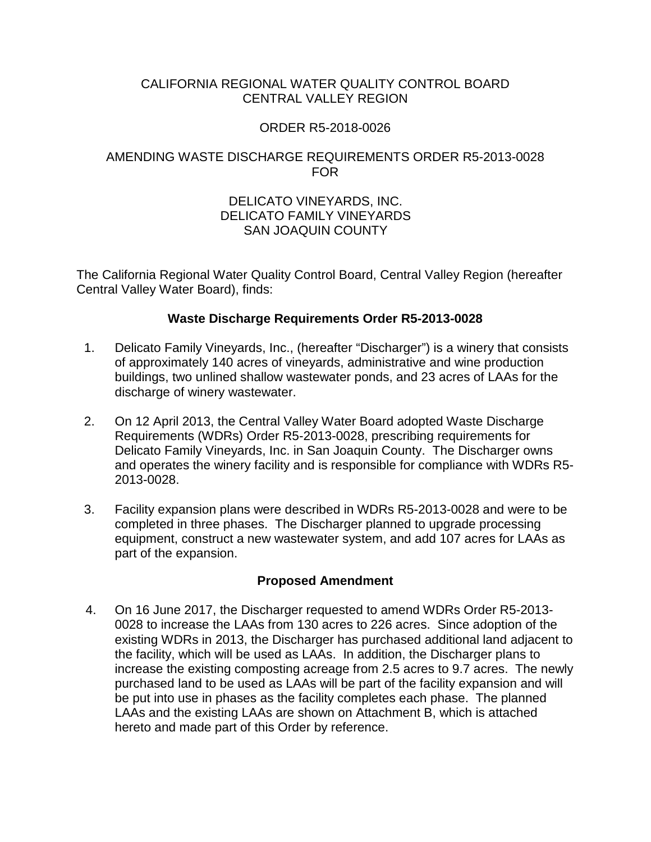### CALIFORNIA REGIONAL WATER QUALITY CONTROL BOARD CENTRAL VALLEY REGION

# ORDER R5-2018-0026

## AMENDING WASTE DISCHARGE REQUIREMENTS ORDER R5-2013-0028 FOR

### DELICATO VINEYARDS, INC. DELICATO FAMILY VINEYARDS SAN JOAQUIN COUNTY

The California Regional Water Quality Control Board, Central Valley Region (hereafter Central Valley Water Board), finds:

### **Waste Discharge Requirements Order R5-2013-0028**

- 1. Delicato Family Vineyards, Inc., (hereafter "Discharger") is a winery that consists of approximately 140 acres of vineyards, administrative and wine production buildings, two unlined shallow wastewater ponds, and 23 acres of LAAs for the discharge of winery wastewater.
- 2. On 12 April 2013, the Central Valley Water Board adopted Waste Discharge Requirements (WDRs) Order R5-2013-0028, prescribing requirements for Delicato Family Vineyards, Inc. in San Joaquin County. The Discharger owns and operates the winery facility and is responsible for compliance with WDRs R5- 2013-0028.
- 3. Facility expansion plans were described in WDRs R5-2013-0028 and were to be completed in three phases. The Discharger planned to upgrade processing equipment, construct a new wastewater system, and add 107 acres for LAAs as part of the expansion.

### **Proposed Amendment**

4. On 16 June 2017, the Discharger requested to amend WDRs Order R5-2013- 0028 to increase the LAAs from 130 acres to 226 acres. Since adoption of the existing WDRs in 2013, the Discharger has purchased additional land adjacent to the facility, which will be used as LAAs. In addition, the Discharger plans to increase the existing composting acreage from 2.5 acres to 9.7 acres. The newly purchased land to be used as LAAs will be part of the facility expansion and will be put into use in phases as the facility completes each phase. The planned LAAs and the existing LAAs are shown on Attachment B, which is attached hereto and made part of this Order by reference.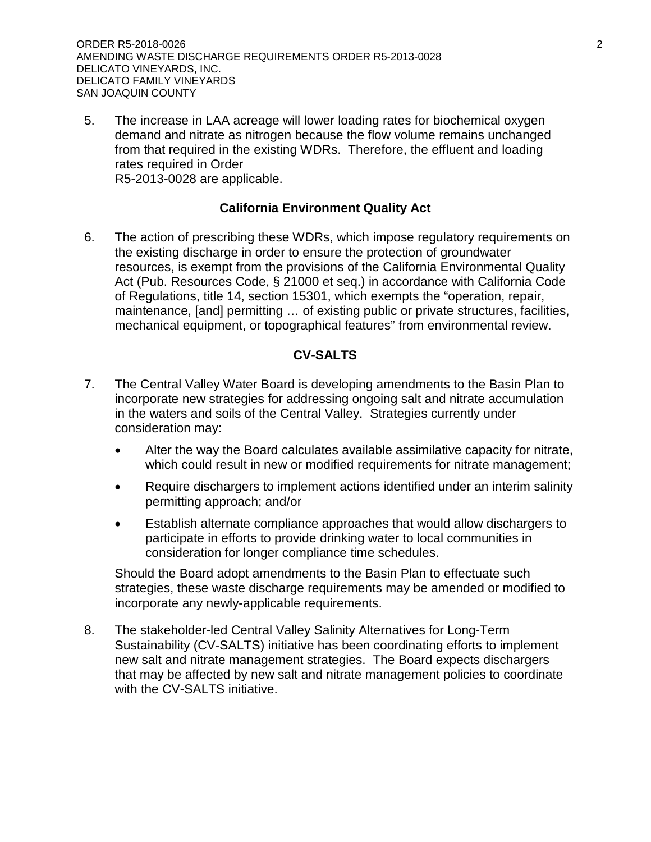ORDER R5-2018-0026 2 AMENDING WASTE DISCHARGE REQUIREMENTS ORDER R5-2013-0028 DELICATO VINEYARDS, INC. DELICATO FAMILY VINEYARDS SAN JOAQUIN COUNTY

5. The increase in LAA acreage will lower loading rates for biochemical oxygen demand and nitrate as nitrogen because the flow volume remains unchanged from that required in the existing WDRs. Therefore, the effluent and loading rates required in Order R5-2013-0028 are applicable.

## **California Environment Quality Act**

6. The action of prescribing these WDRs, which impose regulatory requirements on the existing discharge in order to ensure the protection of groundwater resources, is exempt from the provisions of the California Environmental Quality Act (Pub. Resources Code, § 21000 et seq.) in accordance with California Code of Regulations, title 14, section 15301, which exempts the "operation, repair, maintenance, [and] permitting … of existing public or private structures, facilities, mechanical equipment, or topographical features" from environmental review.

### **CV-SALTS**

- 7. The Central Valley Water Board is developing amendments to the Basin Plan to incorporate new strategies for addressing ongoing salt and nitrate accumulation in the waters and soils of the Central Valley. Strategies currently under consideration may:
	- Alter the way the Board calculates available assimilative capacity for nitrate, which could result in new or modified requirements for nitrate management;
	- Require dischargers to implement actions identified under an interim salinity permitting approach; and/or
	- Establish alternate compliance approaches that would allow dischargers to participate in efforts to provide drinking water to local communities in consideration for longer compliance time schedules.

Should the Board adopt amendments to the Basin Plan to effectuate such strategies, these waste discharge requirements may be amended or modified to incorporate any newly-applicable requirements.

8. The stakeholder-led Central Valley Salinity Alternatives for Long-Term Sustainability (CV-SALTS) initiative has been coordinating efforts to implement new salt and nitrate management strategies. The Board expects dischargers that may be affected by new salt and nitrate management policies to coordinate with the CV-SALTS initiative.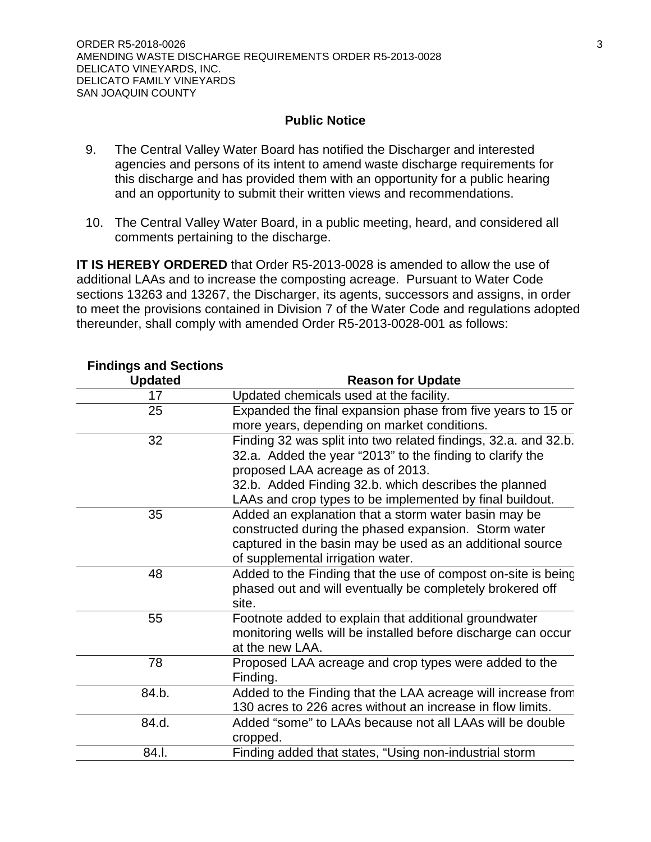#### **Public Notice**

- 9. The Central Valley Water Board has notified the Discharger and interested agencies and persons of its intent to amend waste discharge requirements for this discharge and has provided them with an opportunity for a public hearing and an opportunity to submit their written views and recommendations.
- 10. The Central Valley Water Board, in a public meeting, heard, and considered all comments pertaining to the discharge.

**IT IS HEREBY ORDERED** that Order R5-2013-0028 is amended to allow the use of additional LAAs and to increase the composting acreage. Pursuant to Water Code sections 13263 and 13267, the Discharger, its agents, successors and assigns, in order to meet the provisions contained in Division 7 of the Water Code and regulations adopted thereunder, shall comply with amended Order R5-2013-0028-001 as follows:

| בוועווועט פווע טכענוטווס |                                                                 |
|--------------------------|-----------------------------------------------------------------|
| <b>Updated</b>           | <b>Reason for Update</b>                                        |
| 17                       | Updated chemicals used at the facility.                         |
| 25                       | Expanded the final expansion phase from five years to 15 or     |
|                          | more years, depending on market conditions.                     |
| 32                       | Finding 32 was split into two related findings, 32.a. and 32.b. |
|                          | 32.a. Added the year "2013" to the finding to clarify the       |
|                          | proposed LAA acreage as of 2013.                                |
|                          | 32.b. Added Finding 32.b. which describes the planned           |
|                          | LAAs and crop types to be implemented by final buildout.        |
| 35                       | Added an explanation that a storm water basin may be            |
|                          | constructed during the phased expansion. Storm water            |
|                          | captured in the basin may be used as an additional source       |
|                          | of supplemental irrigation water.                               |
| 48                       | Added to the Finding that the use of compost on-site is being   |
|                          | phased out and will eventually be completely brokered off       |
|                          | site.                                                           |
| 55                       | Footnote added to explain that additional groundwater           |
|                          | monitoring wells will be installed before discharge can occur   |
|                          | at the new LAA.                                                 |
| 78                       | Proposed LAA acreage and crop types were added to the           |
|                          | Finding.                                                        |
| 84.b.                    | Added to the Finding that the LAA acreage will increase from    |
|                          | 130 acres to 226 acres without an increase in flow limits.      |
| 84.d.                    | Added "some" to LAAs because not all LAAs will be double        |
|                          | cropped.                                                        |
| 84.I.                    | Finding added that states, "Using non-industrial storm          |

# **Findings and Sections**